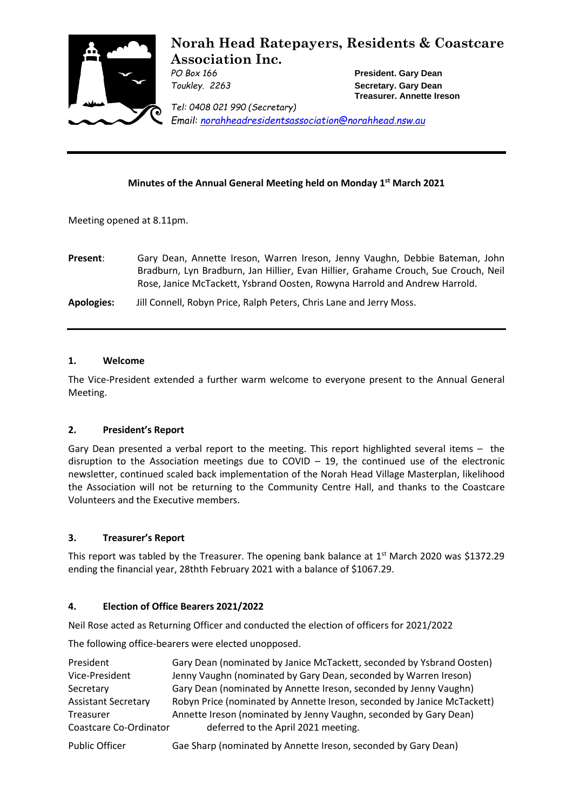

# **Norah Head Ratepayers, Residents & Coastcare Association Inc.**

*PO Box 166* **President. Gary Dean** *Toukley. 2263* **Secretary. Gary Dean Treasurer. Annette Ireson**

*Tel: 0408 021 990 (Secretary) Email: [norahheadresidentsassociation@norahhead.nsw.au](mailto:norahheadresidentsassociation@norahhead.nsw.au)*

## **Minutes of the Annual General Meeting held on Monday 1 st March 2021**

Meeting opened at 8.11pm.

**Present**: Gary Dean, Annette Ireson, Warren Ireson, Jenny Vaughn, Debbie Bateman, John Bradburn, Lyn Bradburn, Jan Hillier, Evan Hillier, Grahame Crouch, Sue Crouch, Neil Rose, Janice McTackett, Ysbrand Oosten, Rowyna Harrold and Andrew Harrold.

**Apologies:** Jill Connell, Robyn Price, Ralph Peters, Chris Lane and Jerry Moss.

#### **1. Welcome**

The Vice-President extended a further warm welcome to everyone present to the Annual General Meeting.

## **2. President's Report**

Gary Dean presented a verbal report to the meeting. This report highlighted several items – the disruption to the Association meetings due to COVID – 19, the continued use of the electronic newsletter, continued scaled back implementation of the Norah Head Village Masterplan, likelihood the Association will not be returning to the Community Centre Hall, and thanks to the Coastcare Volunteers and the Executive members.

#### **3. Treasurer's Report**

This report was tabled by the Treasurer. The opening bank balance at 1st March 2020 was \$1372.29 ending the financial year, 28thth February 2021 with a balance of \$1067.29.

#### **4. Election of Office Bearers 2021/2022**

Neil Rose acted as Returning Officer and conducted the election of officers for 2021/2022

The following office-bearers were elected unopposed.

| President                  | Gary Dean (nominated by Janice McTackett, seconded by Ysbrand Oosten)   |
|----------------------------|-------------------------------------------------------------------------|
| Vice-President             | Jenny Vaughn (nominated by Gary Dean, seconded by Warren Ireson)        |
| Secretary                  | Gary Dean (nominated by Annette Ireson, seconded by Jenny Vaughn)       |
| <b>Assistant Secretary</b> | Robyn Price (nominated by Annette Ireson, seconded by Janice McTackett) |
| Treasurer                  | Annette Ireson (nominated by Jenny Vaughn, seconded by Gary Dean)       |
| Coastcare Co-Ordinator     | deferred to the April 2021 meeting.                                     |

Public Officer Gae Sharp (nominated by Annette Ireson, seconded by Gary Dean)